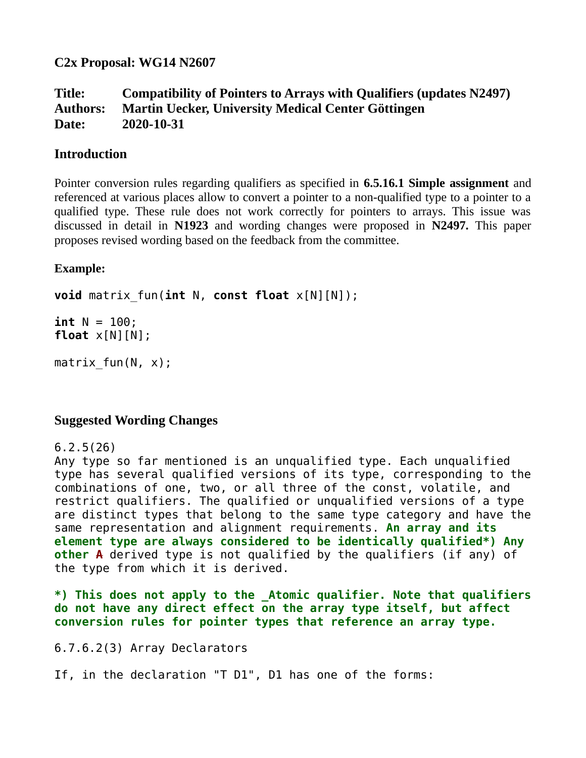**C2x Proposal: WG14 N2607**

# **Title: Compatibility of Pointers to Arrays with Qualifiers (updates N2497) Authors: Martin Uecker, University Medical Center Göttingen Date: 2020-10-31**

### **Introduction**

Pointer conversion rules regarding qualifiers as specified in **6.5.16.1 Simple assignment** and referenced at various places allow to convert a pointer to a non-qualified type to a pointer to a qualified type. These rule does not work correctly for pointers to arrays. This issue was discussed in detail in **N1923** and wording changes were proposed in **N2497.** This paper proposes revised wording based on the feedback from the committee.

### **Example:**

**void** matrix\_fun(**int** N, **const float** x[N][N]);

**int** N = 100; **float** x[N][N]; matrix  $fun(N, x)$ ;

## **Suggested Wording Changes**

```
6.2.5(26)
```
Any type so far mentioned is an unqualified type. Each unqualified type has several qualified versions of its type, corresponding to the combinations of one, two, or all three of the const, volatile, and restrict qualifiers. The qualified or unqualified versions of a type are distinct types that belong to the same type category and have the same representation and alignment requirements. **An array and its element type are always considered to be identically qualified\*) Any other A** derived type is not qualified by the qualifiers (if any) of the type from which it is derived.

**\*) This does not apply to the \_Atomic qualifier. Note that qualifiers do not have any direct effect on the array type itself, but affect conversion rules for pointer types that reference an array type.**

6.7.6.2(3) Array Declarators

If, in the declaration "T D1", D1 has one of the forms: